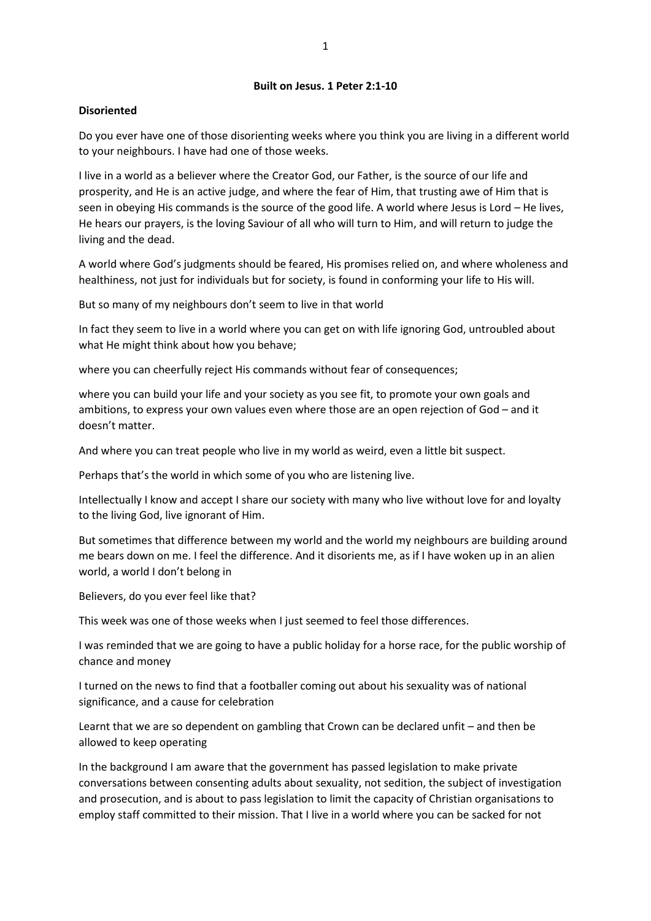### **Built on Jesus. 1 Peter 2:1-10**

# **Disoriented**

Do you ever have one of those disorienting weeks where you think you are living in a different world to your neighbours. I have had one of those weeks.

I live in a world as a believer where the Creator God, our Father, is the source of our life and prosperity, and He is an active judge, and where the fear of Him, that trusting awe of Him that is seen in obeying His commands is the source of the good life. A world where Jesus is Lord – He lives, He hears our prayers, is the loving Saviour of all who will turn to Him, and will return to judge the living and the dead.

A world where God's judgments should be feared, His promises relied on, and where wholeness and healthiness, not just for individuals but for society, is found in conforming your life to His will.

But so many of my neighbours don't seem to live in that world

In fact they seem to live in a world where you can get on with life ignoring God, untroubled about what He might think about how you behave;

where you can cheerfully reject His commands without fear of consequences;

where you can build your life and your society as you see fit, to promote your own goals and ambitions, to express your own values even where those are an open rejection of God – and it doesn't matter.

And where you can treat people who live in my world as weird, even a little bit suspect.

Perhaps that's the world in which some of you who are listening live.

Intellectually I know and accept I share our society with many who live without love for and loyalty to the living God, live ignorant of Him.

But sometimes that difference between my world and the world my neighbours are building around me bears down on me. I feel the difference. And it disorients me, as if I have woken up in an alien world, a world I don't belong in

Believers, do you ever feel like that?

This week was one of those weeks when I just seemed to feel those differences.

I was reminded that we are going to have a public holiday for a horse race, for the public worship of chance and money

I turned on the news to find that a footballer coming out about his sexuality was of national significance, and a cause for celebration

Learnt that we are so dependent on gambling that Crown can be declared unfit – and then be allowed to keep operating

In the background I am aware that the government has passed legislation to make private conversations between consenting adults about sexuality, not sedition, the subject of investigation and prosecution, and is about to pass legislation to limit the capacity of Christian organisations to employ staff committed to their mission. That I live in a world where you can be sacked for not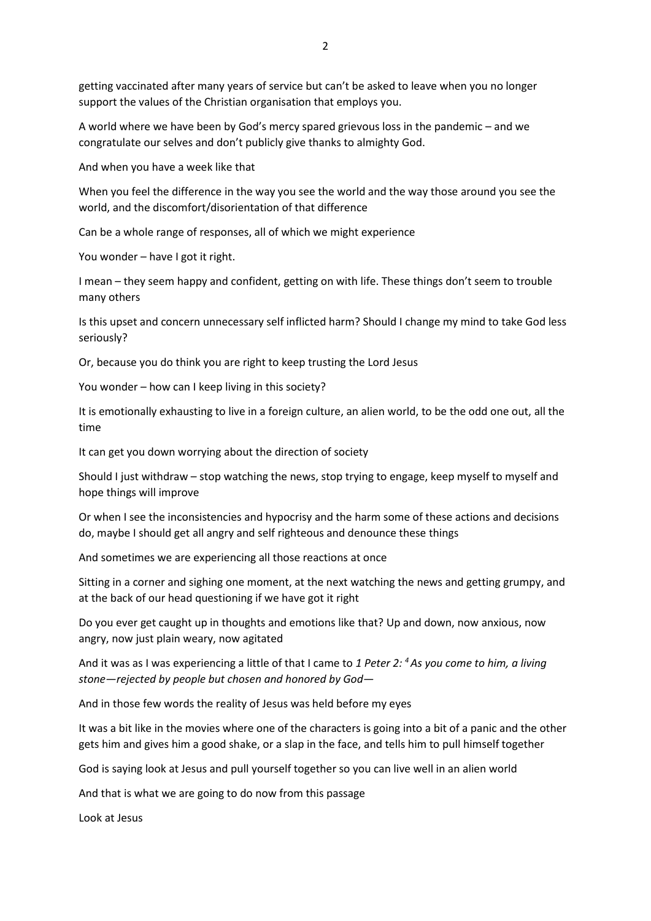getting vaccinated after many years of service but can't be asked to leave when you no longer support the values of the Christian organisation that employs you.

A world where we have been by God's mercy spared grievous loss in the pandemic – and we congratulate our selves and don't publicly give thanks to almighty God.

And when you have a week like that

When you feel the difference in the way you see the world and the way those around you see the world, and the discomfort/disorientation of that difference

Can be a whole range of responses, all of which we might experience

You wonder – have I got it right.

I mean – they seem happy and confident, getting on with life. These things don't seem to trouble many others

Is this upset and concern unnecessary self inflicted harm? Should I change my mind to take God less seriously?

Or, because you do think you are right to keep trusting the Lord Jesus

You wonder – how can I keep living in this society?

It is emotionally exhausting to live in a foreign culture, an alien world, to be the odd one out, all the time

It can get you down worrying about the direction of society

Should I just withdraw – stop watching the news, stop trying to engage, keep myself to myself and hope things will improve

Or when I see the inconsistencies and hypocrisy and the harm some of these actions and decisions do, maybe I should get all angry and self righteous and denounce these things

And sometimes we are experiencing all those reactions at once

Sitting in a corner and sighing one moment, at the next watching the news and getting grumpy, and at the back of our head questioning if we have got it right

Do you ever get caught up in thoughts and emotions like that? Up and down, now anxious, now angry, now just plain weary, now agitated

And it was as I was experiencing a little of that I came to *1 Peter 2: <sup>4</sup>As you come to him, a living stone—rejected by people but chosen and honored by God—*

And in those few words the reality of Jesus was held before my eyes

It was a bit like in the movies where one of the characters is going into a bit of a panic and the other gets him and gives him a good shake, or a slap in the face, and tells him to pull himself together

God is saying look at Jesus and pull yourself together so you can live well in an alien world

And that is what we are going to do now from this passage

Look at Jesus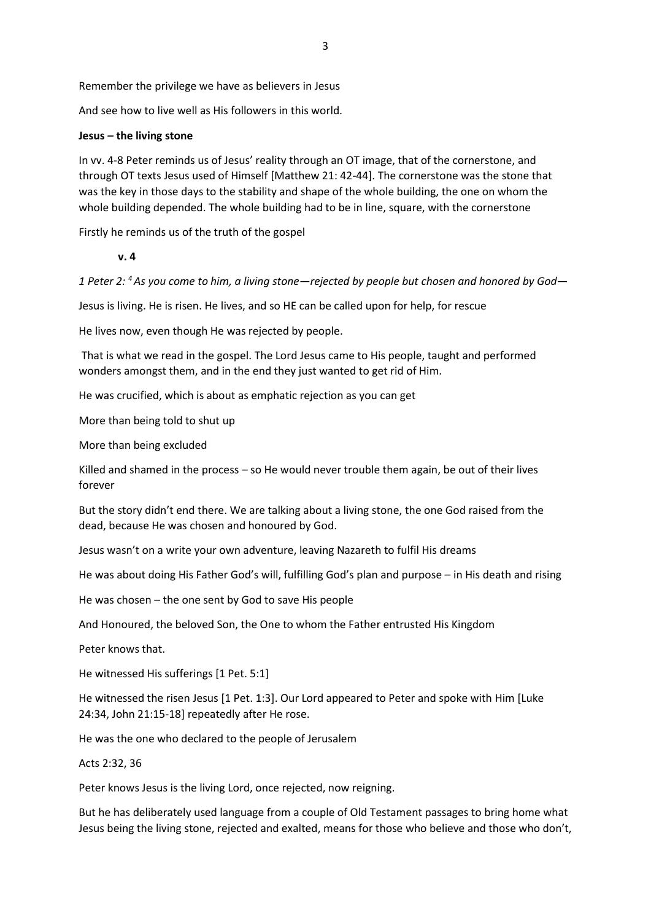Remember the privilege we have as believers in Jesus

And see how to live well as His followers in this world.

### **Jesus – the living stone**

In vv. 4-8 Peter reminds us of Jesus' reality through an OT image, that of the cornerstone, and through OT texts Jesus used of Himself [Matthew 21: 42-44]. The cornerstone was the stone that was the key in those days to the stability and shape of the whole building, the one on whom the whole building depended. The whole building had to be in line, square, with the cornerstone

Firstly he reminds us of the truth of the gospel

**v. 4**

*1 Peter 2: <sup>4</sup>As you come to him, a living stone—rejected by people but chosen and honored by God—*

Jesus is living. He is risen. He lives, and so HE can be called upon for help, for rescue

He lives now, even though He was rejected by people.

That is what we read in the gospel. The Lord Jesus came to His people, taught and performed wonders amongst them, and in the end they just wanted to get rid of Him.

He was crucified, which is about as emphatic rejection as you can get

More than being told to shut up

More than being excluded

Killed and shamed in the process – so He would never trouble them again, be out of their lives forever

But the story didn't end there. We are talking about a living stone, the one God raised from the dead, because He was chosen and honoured by God.

Jesus wasn't on a write your own adventure, leaving Nazareth to fulfil His dreams

He was about doing His Father God's will, fulfilling God's plan and purpose – in His death and rising

He was chosen – the one sent by God to save His people

And Honoured, the beloved Son, the One to whom the Father entrusted His Kingdom

Peter knows that.

He witnessed His sufferings [1 Pet. 5:1]

He witnessed the risen Jesus [1 Pet. 1:3]. Our Lord appeared to Peter and spoke with Him [Luke 24:34, John 21:15-18] repeatedly after He rose.

He was the one who declared to the people of Jerusalem

Acts 2:32, 36

Peter knows Jesus is the living Lord, once rejected, now reigning.

But he has deliberately used language from a couple of Old Testament passages to bring home what Jesus being the living stone, rejected and exalted, means for those who believe and those who don't,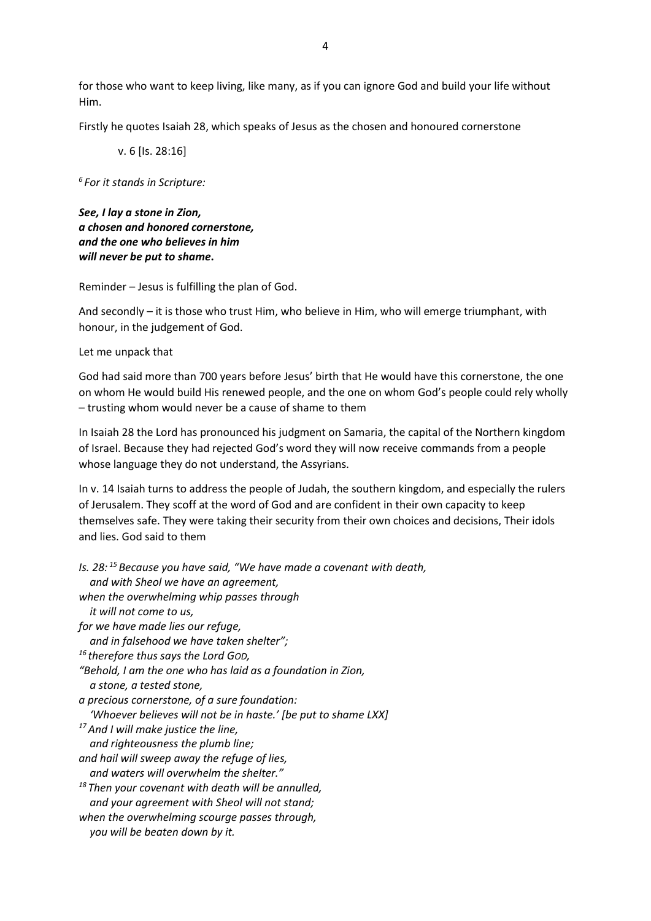for those who want to keep living, like many, as if you can ignore God and build your life without Him.

Firstly he quotes Isaiah 28, which speaks of Jesus as the chosen and honoured cornerstone

v. 6 [Is. 28:16]

*6 For it stands in Scripture:*

*See, I lay a stone in Zion, a chosen and honored cornerstone, and the one who believes in him will never be put to shame***.**

Reminder – Jesus is fulfilling the plan of God.

And secondly – it is those who trust Him, who believe in Him, who will emerge triumphant, with honour, in the judgement of God.

Let me unpack that

God had said more than 700 years before Jesus' birth that He would have this cornerstone, the one on whom He would build His renewed people, and the one on whom God's people could rely wholly – trusting whom would never be a cause of shame to them

In Isaiah 28 the Lord has pronounced his judgment on Samaria, the capital of the Northern kingdom of Israel. Because they had rejected God's word they will now receive commands from a people whose language they do not understand, the Assyrians.

In v. 14 Isaiah turns to address the people of Judah, the southern kingdom, and especially the rulers of Jerusalem. They scoff at the word of God and are confident in their own capacity to keep themselves safe. They were taking their security from their own choices and decisions, Their idols and lies. God said to them

*Is. 28: <sup>15</sup> Because you have said, "We have made a covenant with death, and with Sheol we have an agreement, when the overwhelming whip passes through it will not come to us, for we have made lies our refuge, and in falsehood we have taken shelter"; <sup>16</sup> therefore thus says the Lord GOD, "Behold, I am the one who has laid as a foundation in Zion, a stone, a tested stone, a precious cornerstone, of a sure foundation: 'Whoever believes will not be in haste.' [be put to shame LXX] <sup>17</sup>And I will make justice the line, and righteousness the plumb line; and hail will sweep away the refuge of lies, and waters will overwhelm the shelter." <sup>18</sup> Then your covenant with death will be annulled, and your agreement with Sheol will not stand; when the overwhelming scourge passes through, you will be beaten down by it.*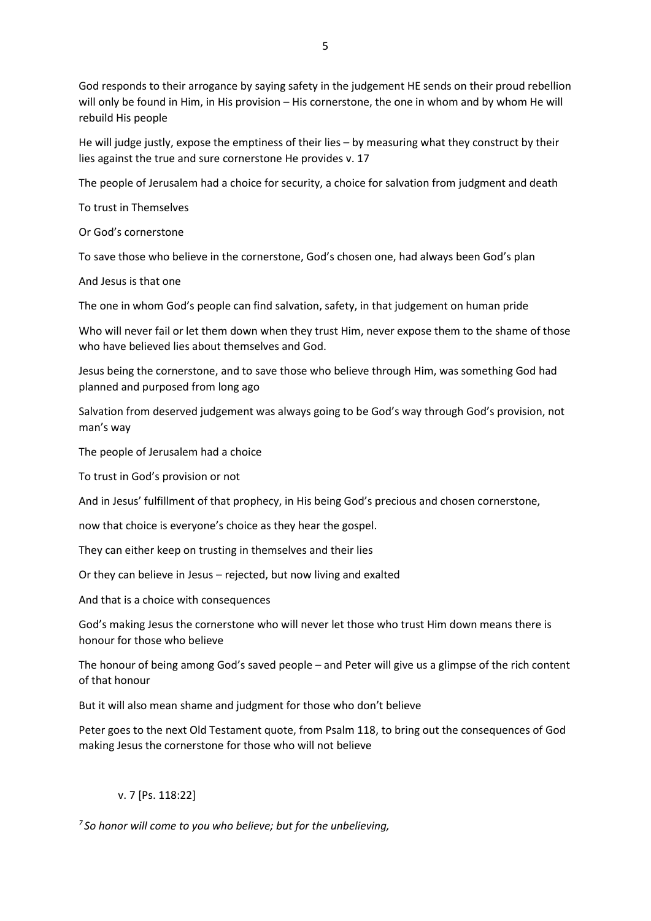God responds to their arrogance by saying safety in the judgement HE sends on their proud rebellion will only be found in Him, in His provision – His cornerstone, the one in whom and by whom He will

rebuild His people

He will judge justly, expose the emptiness of their lies – by measuring what they construct by their lies against the true and sure cornerstone He provides v. 17

The people of Jerusalem had a choice for security, a choice for salvation from judgment and death

To trust in Themselves

Or God's cornerstone

To save those who believe in the cornerstone, God's chosen one, had always been God's plan

And Jesus is that one

The one in whom God's people can find salvation, safety, in that judgement on human pride

Who will never fail or let them down when they trust Him, never expose them to the shame of those who have believed lies about themselves and God.

Jesus being the cornerstone, and to save those who believe through Him, was something God had planned and purposed from long ago

Salvation from deserved judgement was always going to be God's way through God's provision, not man's way

The people of Jerusalem had a choice

To trust in God's provision or not

And in Jesus' fulfillment of that prophecy, in His being God's precious and chosen cornerstone,

now that choice is everyone's choice as they hear the gospel.

They can either keep on trusting in themselves and their lies

Or they can believe in Jesus – rejected, but now living and exalted

And that is a choice with consequences

God's making Jesus the cornerstone who will never let those who trust Him down means there is honour for those who believe

The honour of being among God's saved people – and Peter will give us a glimpse of the rich content of that honour

But it will also mean shame and judgment for those who don't believe

Peter goes to the next Old Testament quote, from Psalm 118, to bring out the consequences of God making Jesus the cornerstone for those who will not believe

# v. 7 [Ps. 118:22]

*7 So honor will come to you who believe; but for the unbelieving,*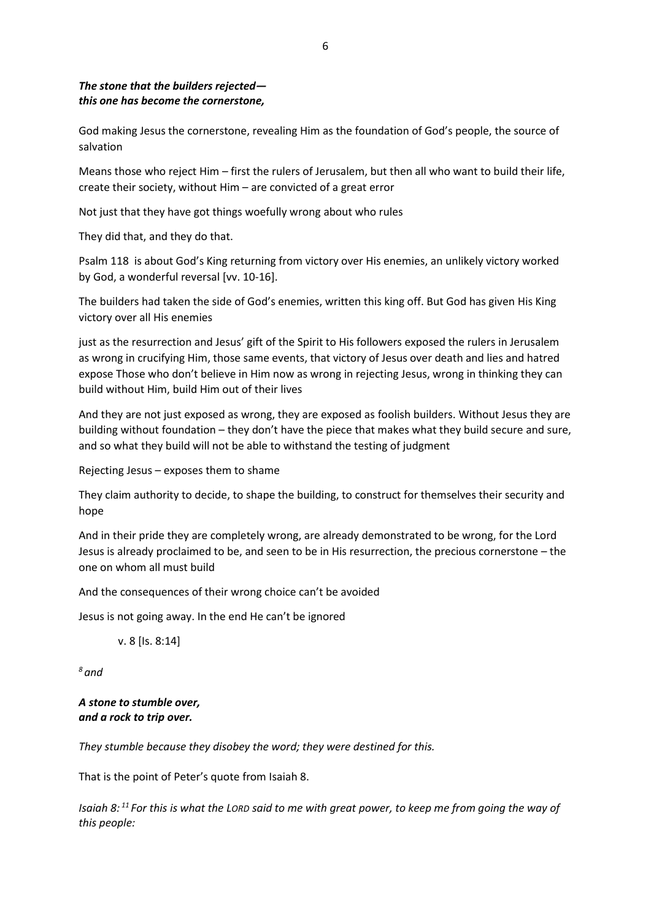# *The stone that the builders rejected this one has become the cornerstone,*

God making Jesus the cornerstone, revealing Him as the foundation of God's people, the source of salvation

Means those who reject Him – first the rulers of Jerusalem, but then all who want to build their life, create their society, without Him – are convicted of a great error

Not just that they have got things woefully wrong about who rules

They did that, and they do that.

Psalm 118 is about God's King returning from victory over His enemies, an unlikely victory worked by God, a wonderful reversal [vv. 10-16].

The builders had taken the side of God's enemies, written this king off. But God has given His King victory over all His enemies

just as the resurrection and Jesus' gift of the Spirit to His followers exposed the rulers in Jerusalem as wrong in crucifying Him, those same events, that victory of Jesus over death and lies and hatred expose Those who don't believe in Him now as wrong in rejecting Jesus, wrong in thinking they can build without Him, build Him out of their lives

And they are not just exposed as wrong, they are exposed as foolish builders. Without Jesus they are building without foundation – they don't have the piece that makes what they build secure and sure, and so what they build will not be able to withstand the testing of judgment

Rejecting Jesus – exposes them to shame

They claim authority to decide, to shape the building, to construct for themselves their security and hope

And in their pride they are completely wrong, are already demonstrated to be wrong, for the Lord Jesus is already proclaimed to be, and seen to be in His resurrection, the precious cornerstone – the one on whom all must build

And the consequences of their wrong choice can't be avoided

Jesus is not going away. In the end He can't be ignored

v. 8 [Is. 8:14]

*<sup>8</sup> and*

*A stone to stumble over, and a rock to trip over.*

*They stumble because they disobey the word; they were destined for this.*

That is the point of Peter's quote from Isaiah 8.

*Isaiah 8: <sup>11</sup> For this is what the LORD said to me with great power, to keep me from going the way of this people:*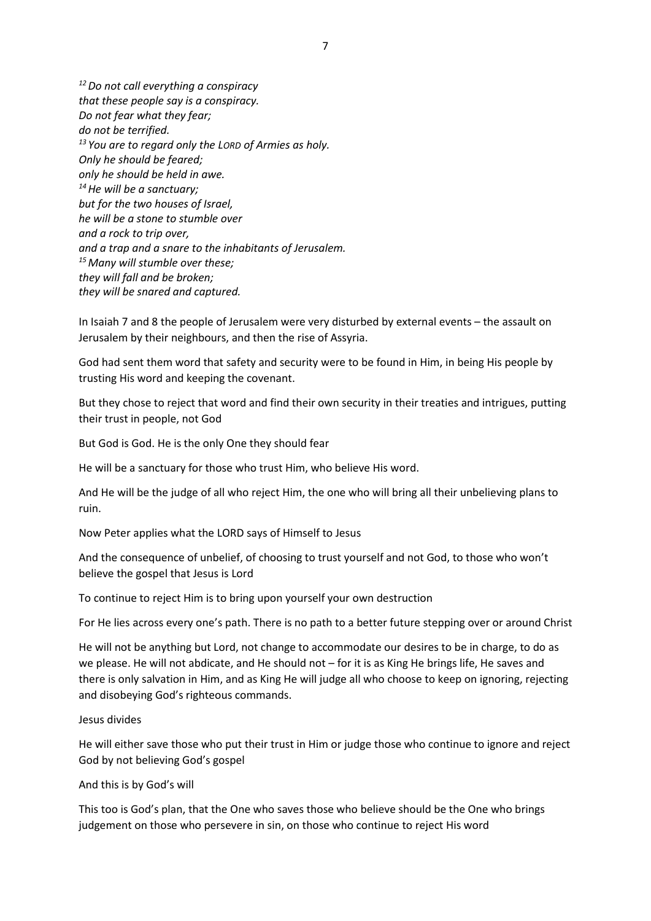*<sup>12</sup>Do not call everything a conspiracy that these people say is a conspiracy. Do not fear what they fear; do not be terrified. <sup>13</sup> You are to regard only the LORD of Armies as holy. Only he should be feared; only he should be held in awe. <sup>14</sup>He will be a sanctuary; but for the two houses of Israel, he will be a stone to stumble over and a rock to trip over, and a trap and a snare to the inhabitants of Jerusalem. <sup>15</sup>Many will stumble over these; they will fall and be broken; they will be snared and captured.*

In Isaiah 7 and 8 the people of Jerusalem were very disturbed by external events – the assault on Jerusalem by their neighbours, and then the rise of Assyria.

God had sent them word that safety and security were to be found in Him, in being His people by trusting His word and keeping the covenant.

But they chose to reject that word and find their own security in their treaties and intrigues, putting their trust in people, not God

But God is God. He is the only One they should fear

He will be a sanctuary for those who trust Him, who believe His word.

And He will be the judge of all who reject Him, the one who will bring all their unbelieving plans to ruin.

Now Peter applies what the LORD says of Himself to Jesus

And the consequence of unbelief, of choosing to trust yourself and not God, to those who won't believe the gospel that Jesus is Lord

To continue to reject Him is to bring upon yourself your own destruction

For He lies across every one's path. There is no path to a better future stepping over or around Christ

He will not be anything but Lord, not change to accommodate our desires to be in charge, to do as we please. He will not abdicate, and He should not – for it is as King He brings life, He saves and there is only salvation in Him, and as King He will judge all who choose to keep on ignoring, rejecting and disobeying God's righteous commands.

#### Jesus divides

He will either save those who put their trust in Him or judge those who continue to ignore and reject God by not believing God's gospel

#### And this is by God's will

This too is God's plan, that the One who saves those who believe should be the One who brings judgement on those who persevere in sin, on those who continue to reject His word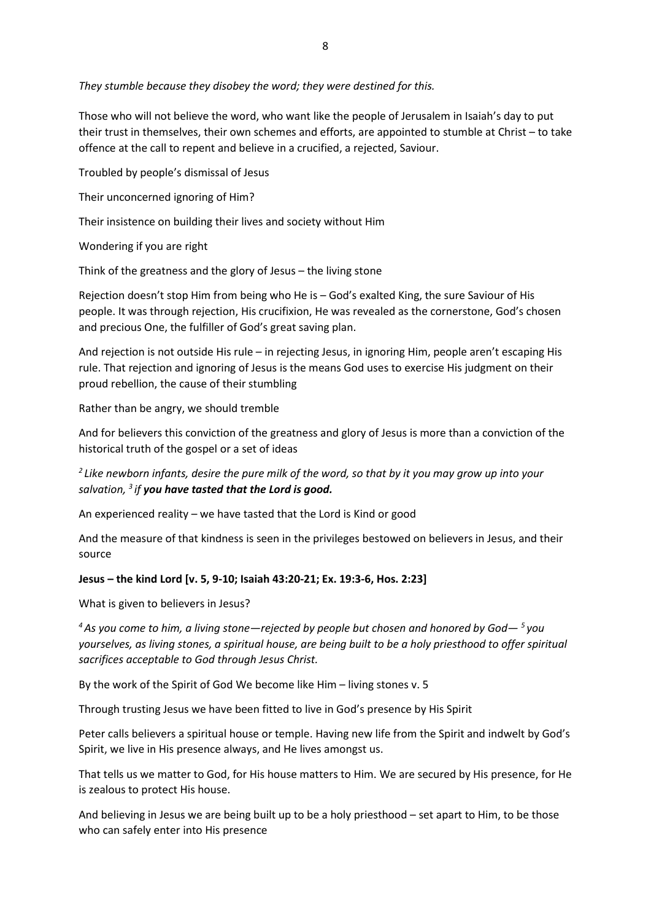## *They stumble because they disobey the word; they were destined for this.*

Those who will not believe the word, who want like the people of Jerusalem in Isaiah's day to put their trust in themselves, their own schemes and efforts, are appointed to stumble at Christ – to take offence at the call to repent and believe in a crucified, a rejected, Saviour.

Troubled by people's dismissal of Jesus

Their unconcerned ignoring of Him?

Their insistence on building their lives and society without Him

Wondering if you are right

Think of the greatness and the glory of Jesus – the living stone

Rejection doesn't stop Him from being who He is – God's exalted King, the sure Saviour of His people. It was through rejection, His crucifixion, He was revealed as the cornerstone, God's chosen and precious One, the fulfiller of God's great saving plan.

And rejection is not outside His rule – in rejecting Jesus, in ignoring Him, people aren't escaping His rule. That rejection and ignoring of Jesus is the means God uses to exercise His judgment on their proud rebellion, the cause of their stumbling

Rather than be angry, we should tremble

And for believers this conviction of the greatness and glory of Jesus is more than a conviction of the historical truth of the gospel or a set of ideas

*2 Like newborn infants, desire the pure milk of the word, so that by it you may grow up into your salvation, <sup>3</sup> if you have tasted that the Lord is good.*

An experienced reality – we have tasted that the Lord is Kind or good

And the measure of that kindness is seen in the privileges bestowed on believers in Jesus, and their source

### **Jesus – the kind Lord [v. 5, 9-10; Isaiah 43:20-21; Ex. 19:3-6, Hos. 2:23]**

What is given to believers in Jesus?

*<sup>4</sup>As you come to him, a living stone—rejected by people but chosen and honored by God— <sup>5</sup> you yourselves, as living stones, a spiritual house, are being built to be a holy priesthood to offer spiritual sacrifices acceptable to God through Jesus Christ.*

By the work of the Spirit of God We become like Him – living stones v. 5

Through trusting Jesus we have been fitted to live in God's presence by His Spirit

Peter calls believers a spiritual house or temple. Having new life from the Spirit and indwelt by God's Spirit, we live in His presence always, and He lives amongst us.

That tells us we matter to God, for His house matters to Him. We are secured by His presence, for He is zealous to protect His house.

And believing in Jesus we are being built up to be a holy priesthood – set apart to Him, to be those who can safely enter into His presence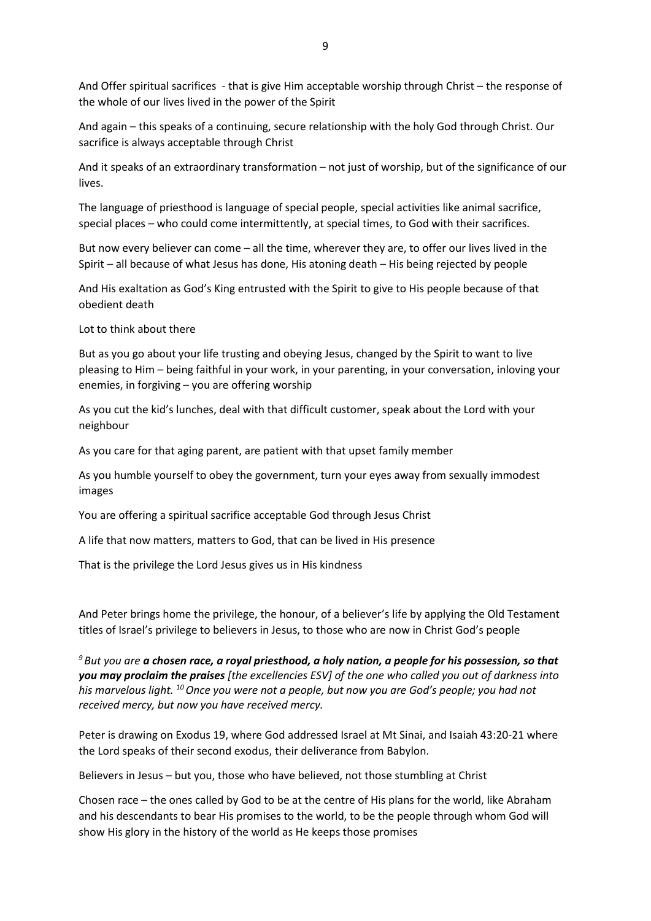And Offer spiritual sacrifices - that is give Him acceptable worship through Christ – the response of the whole of our lives lived in the power of the Spirit

And again – this speaks of a continuing, secure relationship with the holy God through Christ. Our sacrifice is always acceptable through Christ

And it speaks of an extraordinary transformation – not just of worship, but of the significance of our lives.

The language of priesthood is language of special people, special activities like animal sacrifice, special places – who could come intermittently, at special times, to God with their sacrifices.

But now every believer can come – all the time, wherever they are, to offer our lives lived in the Spirit – all because of what Jesus has done, His atoning death – His being rejected by people

And His exaltation as God's King entrusted with the Spirit to give to His people because of that obedient death

Lot to think about there

But as you go about your life trusting and obeying Jesus, changed by the Spirit to want to live pleasing to Him – being faithful in your work, in your parenting, in your conversation, inloving your enemies, in forgiving – you are offering worship

As you cut the kid's lunches, deal with that difficult customer, speak about the Lord with your neighbour

As you care for that aging parent, are patient with that upset family member

As you humble yourself to obey the government, turn your eyes away from sexually immodest images

You are offering a spiritual sacrifice acceptable God through Jesus Christ

A life that now matters, matters to God, that can be lived in His presence

That is the privilege the Lord Jesus gives us in His kindness

And Peter brings home the privilege, the honour, of a believer's life by applying the Old Testament titles of Israel's privilege to believers in Jesus, to those who are now in Christ God's people

*<sup>9</sup> But you are a chosen race, a royal priesthood, a holy nation, a people for his possession, so that you may proclaim the praises [the excellencies ESV] of the one who called you out of darkness into his marvelous light. <sup>10</sup>Once you were not a people, but now you are God's people; you had not received mercy, but now you have received mercy.*

Peter is drawing on Exodus 19, where God addressed Israel at Mt Sinai, and Isaiah 43:20-21 where the Lord speaks of their second exodus, their deliverance from Babylon.

Believers in Jesus – but you, those who have believed, not those stumbling at Christ

Chosen race – the ones called by God to be at the centre of His plans for the world, like Abraham and his descendants to bear His promises to the world, to be the people through whom God will show His glory in the history of the world as He keeps those promises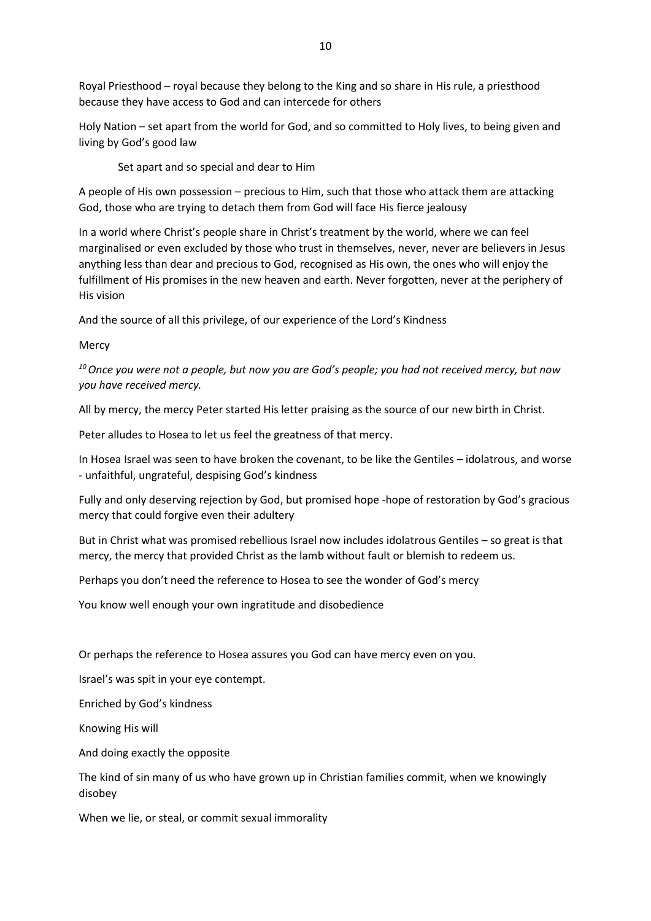Royal Priesthood – royal because they belong to the King and so share in His rule, a priesthood because they have access to God and can intercede for others

Holy Nation – set apart from the world for God, and so committed to Holy lives, to being given and living by God's good law

Set apart and so special and dear to Him

A people of His own possession – precious to Him, such that those who attack them are attacking God, those who are trying to detach them from God will face His fierce jealousy

In a world where Christ's people share in Christ's treatment by the world, where we can feel marginalised or even excluded by those who trust in themselves, never, never are believers in Jesus anything less than dear and precious to God, recognised as His own, the ones who will enjoy the fulfillment of His promises in the new heaven and earth. Never forgotten, never at the periphery of His vision

And the source of all this privilege, of our experience of the Lord's Kindness

**Mercy** 

*<sup>10</sup>Once you were not a people, but now you are God's people; you had not received mercy, but now you have received mercy.*

All by mercy, the mercy Peter started His letter praising as the source of our new birth in Christ.

Peter alludes to Hosea to let us feel the greatness of that mercy.

In Hosea Israel was seen to have broken the covenant, to be like the Gentiles – idolatrous, and worse - unfaithful, ungrateful, despising God's kindness

Fully and only deserving rejection by God, but promised hope -hope of restoration by God's gracious mercy that could forgive even their adultery

But in Christ what was promised rebellious Israel now includes idolatrous Gentiles – so great is that mercy, the mercy that provided Christ as the lamb without fault or blemish to redeem us.

Perhaps you don't need the reference to Hosea to see the wonder of God's mercy

You know well enough your own ingratitude and disobedience

Or perhaps the reference to Hosea assures you God can have mercy even on you.

Israel's was spit in your eye contempt.

Enriched by God's kindness

Knowing His will

And doing exactly the opposite

The kind of sin many of us who have grown up in Christian families commit, when we knowingly disobey

When we lie, or steal, or commit sexual immorality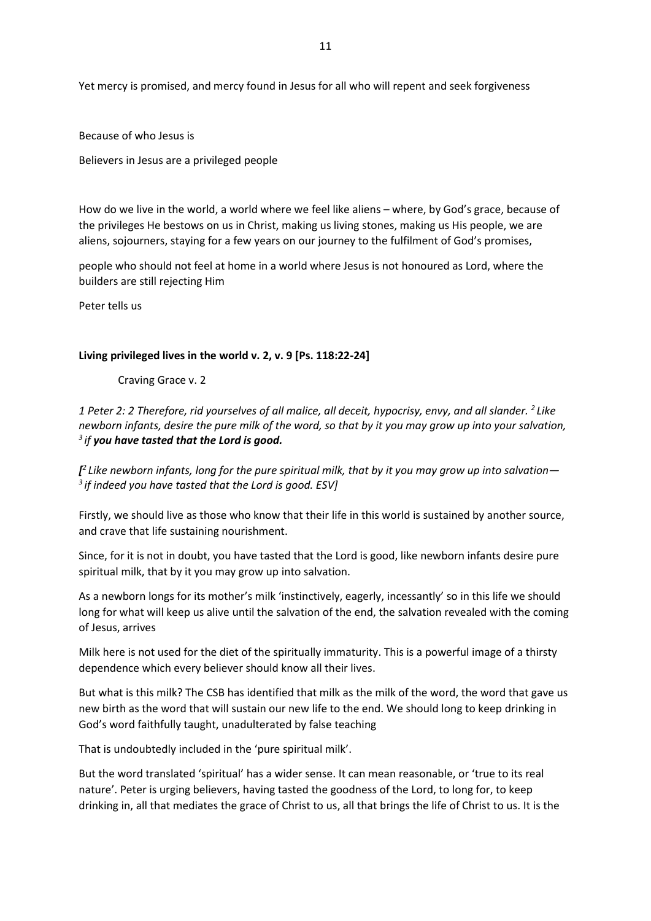Yet mercy is promised, and mercy found in Jesus for all who will repent and seek forgiveness

Because of who Jesus is

Believers in Jesus are a privileged people

How do we live in the world, a world where we feel like aliens – where, by God's grace, because of the privileges He bestows on us in Christ, making us living stones, making us His people, we are aliens, sojourners, staying for a few years on our journey to the fulfilment of God's promises,

people who should not feel at home in a world where Jesus is not honoured as Lord, where the builders are still rejecting Him

Peter tells us

### **Living privileged lives in the world v. 2, v. 9 [Ps. 118:22-24]**

Craving Grace v. 2

*1 Peter 2: 2 Therefore, rid yourselves of all malice, all deceit, hypocrisy, envy, and all slander. <sup>2</sup> Like newborn infants, desire the pure milk of the word, so that by it you may grow up into your salvation, 3 if you have tasted that the Lord is good.*

*[ 2 Like newborn infants, long for the pure spiritual milk, that by it you may grow up into salvation— 3 if indeed you have tasted that the Lord is good. ESV]*

Firstly, we should live as those who know that their life in this world is sustained by another source, and crave that life sustaining nourishment.

Since, for it is not in doubt, you have tasted that the Lord is good, like newborn infants desire pure spiritual milk, that by it you may grow up into salvation.

As a newborn longs for its mother's milk 'instinctively, eagerly, incessantly' so in this life we should long for what will keep us alive until the salvation of the end, the salvation revealed with the coming of Jesus, arrives

Milk here is not used for the diet of the spiritually immaturity. This is a powerful image of a thirsty dependence which every believer should know all their lives.

But what is this milk? The CSB has identified that milk as the milk of the word, the word that gave us new birth as the word that will sustain our new life to the end. We should long to keep drinking in God's word faithfully taught, unadulterated by false teaching

That is undoubtedly included in the 'pure spiritual milk'.

But the word translated 'spiritual' has a wider sense. It can mean reasonable, or 'true to its real nature'. Peter is urging believers, having tasted the goodness of the Lord, to long for, to keep drinking in, all that mediates the grace of Christ to us, all that brings the life of Christ to us. It is the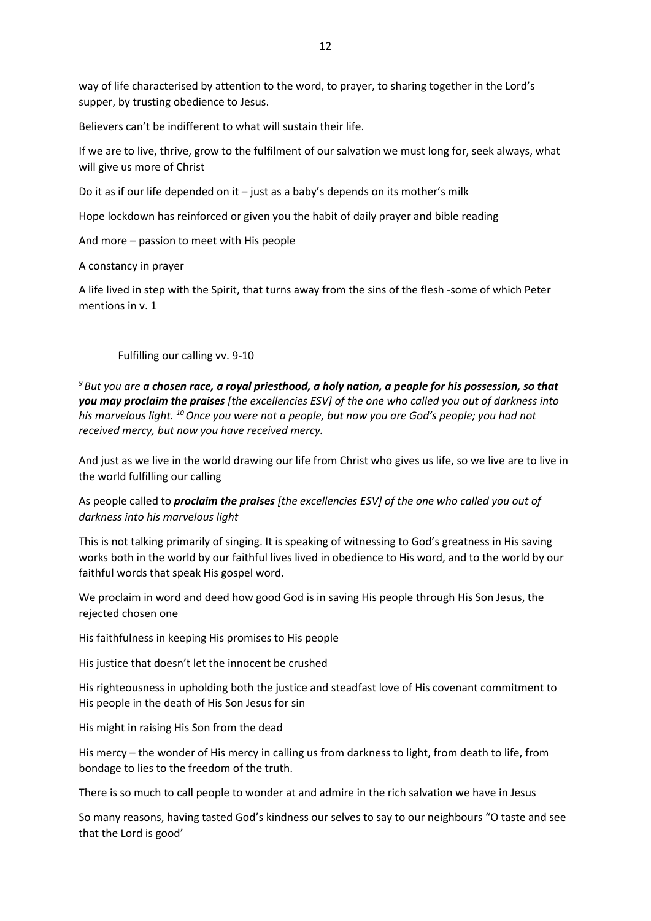way of life characterised by attention to the word, to prayer, to sharing together in the Lord's supper, by trusting obedience to Jesus.

Believers can't be indifferent to what will sustain their life.

If we are to live, thrive, grow to the fulfilment of our salvation we must long for, seek always, what will give us more of Christ

Do it as if our life depended on it – just as a baby's depends on its mother's milk

Hope lockdown has reinforced or given you the habit of daily prayer and bible reading

And more – passion to meet with His people

A constancy in prayer

A life lived in step with the Spirit, that turns away from the sins of the flesh -some of which Peter mentions in v. 1

Fulfilling our calling vv. 9-10

*<sup>9</sup> But you are a chosen race, a royal priesthood, a holy nation, a people for his possession, so that you may proclaim the praises [the excellencies ESV] of the one who called you out of darkness into his marvelous light. <sup>10</sup>Once you were not a people, but now you are God's people; you had not received mercy, but now you have received mercy.*

And just as we live in the world drawing our life from Christ who gives us life, so we live are to live in the world fulfilling our calling

As people called to *proclaim the praises [the excellencies ESV] of the one who called you out of darkness into his marvelous light*

This is not talking primarily of singing. It is speaking of witnessing to God's greatness in His saving works both in the world by our faithful lives lived in obedience to His word, and to the world by our faithful words that speak His gospel word.

We proclaim in word and deed how good God is in saving His people through His Son Jesus, the rejected chosen one

His faithfulness in keeping His promises to His people

His justice that doesn't let the innocent be crushed

His righteousness in upholding both the justice and steadfast love of His covenant commitment to His people in the death of His Son Jesus for sin

His might in raising His Son from the dead

His mercy – the wonder of His mercy in calling us from darkness to light, from death to life, from bondage to lies to the freedom of the truth.

There is so much to call people to wonder at and admire in the rich salvation we have in Jesus

So many reasons, having tasted God's kindness our selves to say to our neighbours "O taste and see that the Lord is good'